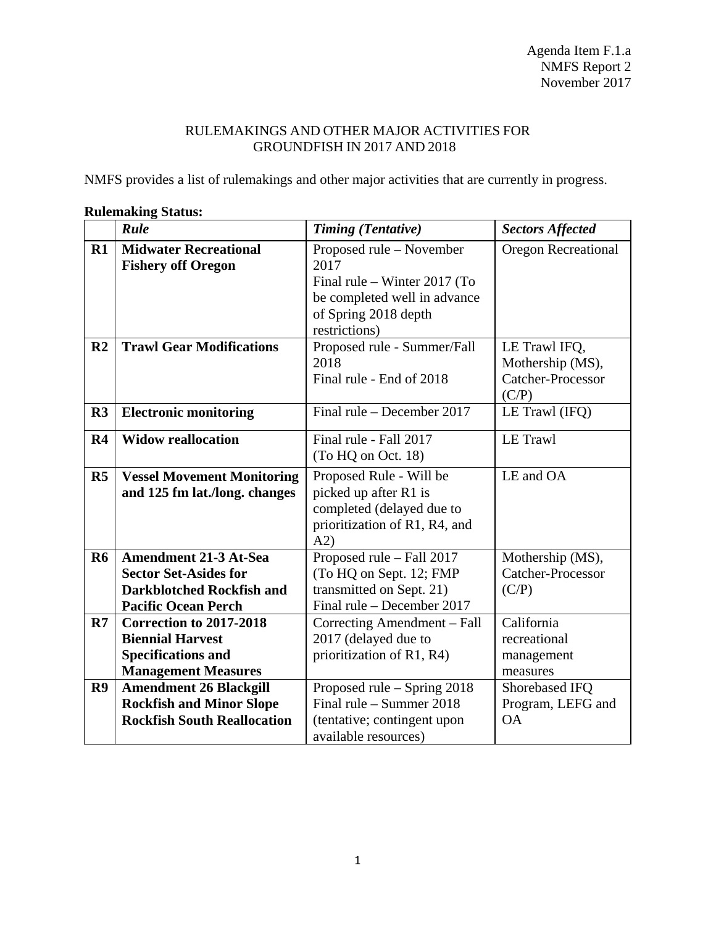## RULEMAKINGS AND OTHER MAJOR ACTIVITIES FOR GROUNDFISH IN 2017 AND 2018

NMFS provides a list of rulemakings and other major activities that are currently in progress.

|                | Rule                                                                                                                    | <b>Timing (Tentative)</b>                                                                                                                 | <b>Sectors Affected</b>                                         |
|----------------|-------------------------------------------------------------------------------------------------------------------------|-------------------------------------------------------------------------------------------------------------------------------------------|-----------------------------------------------------------------|
| $R1$           | <b>Midwater Recreational</b><br><b>Fishery off Oregon</b>                                                               | Proposed rule – November<br>2017<br>Final rule – Winter 2017 (To<br>be completed well in advance<br>of Spring 2018 depth<br>restrictions) | <b>Oregon Recreational</b>                                      |
| R <sub>2</sub> | <b>Trawl Gear Modifications</b>                                                                                         | Proposed rule - Summer/Fall<br>2018<br>Final rule - End of 2018                                                                           | LE Trawl IFQ,<br>Mothership (MS),<br>Catcher-Processor<br>(C/P) |
| R <sub>3</sub> | <b>Electronic monitoring</b>                                                                                            | Final rule – December 2017                                                                                                                | LE Trawl (IFQ)                                                  |
| R <sub>4</sub> | <b>Widow reallocation</b>                                                                                               | Final rule - Fall 2017<br>(To HQ on Oct. 18)                                                                                              | <b>LE Trawl</b>                                                 |
| $\mathbf{R5}$  | <b>Vessel Movement Monitoring</b><br>and 125 fm lat./long. changes                                                      | Proposed Rule - Will be<br>picked up after R1 is<br>completed (delayed due to<br>prioritization of R1, R4, and<br>A2)                     | LE and OA                                                       |
| <b>R6</b>      | Amendment 21-3 At-Sea<br><b>Sector Set-Asides for</b><br><b>Darkblotched Rockfish and</b><br><b>Pacific Ocean Perch</b> | Proposed rule - Fall 2017<br>(To HQ on Sept. 12; FMP<br>transmitted on Sept. 21)<br>Final rule – December 2017                            | Mothership (MS),<br>Catcher-Processor<br>(C/P)                  |
| R7             | Correction to 2017-2018<br><b>Biennial Harvest</b><br><b>Specifications and</b><br><b>Management Measures</b>           | Correcting Amendment - Fall<br>2017 (delayed due to<br>prioritization of R1, R4)                                                          | California<br>recreational<br>management<br>measures            |
| R9             | <b>Amendment 26 Blackgill</b><br><b>Rockfish and Minor Slope</b><br><b>Rockfish South Reallocation</b>                  | Proposed rule - Spring 2018<br>Final rule – Summer $2018$<br>(tentative; contingent upon<br>available resources)                          | Shorebased IFQ<br>Program, LEFG and<br><b>OA</b>                |

## **Rulemaking Status:**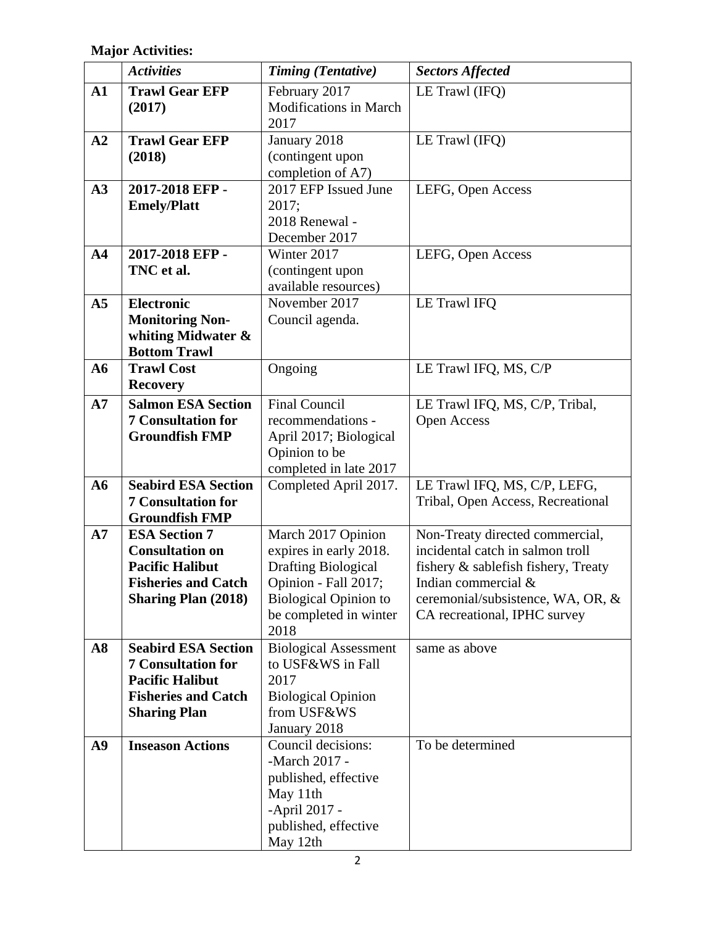**Major Activities:**

|                | <b>Activities</b>          | <b>Timing (Tentative)</b>                              | <b>Sectors Affected</b>                                           |
|----------------|----------------------------|--------------------------------------------------------|-------------------------------------------------------------------|
| $\mathbf{A1}$  | <b>Trawl Gear EFP</b>      | February 2017                                          | LE Trawl (IFQ)                                                    |
|                | (2017)                     | <b>Modifications in March</b>                          |                                                                   |
|                |                            | 2017                                                   |                                                                   |
| A2             | <b>Trawl Gear EFP</b>      | January 2018                                           | LE Trawl (IFQ)                                                    |
|                | (2018)                     | (contingent upon                                       |                                                                   |
|                |                            | completion of A7)                                      |                                                                   |
| A3             | 2017-2018 EFP -            | 2017 EFP Issued June                                   | LEFG, Open Access                                                 |
|                | <b>Emely/Platt</b>         | 2017;<br>2018 Renewal -                                |                                                                   |
|                |                            | December 2017                                          |                                                                   |
| A <sub>4</sub> | 2017-2018 EFP -            | Winter 2017                                            | LEFG, Open Access                                                 |
|                | TNC et al.                 | (contingent upon                                       |                                                                   |
|                |                            | available resources)                                   |                                                                   |
| A <sub>5</sub> | <b>Electronic</b>          | November 2017                                          | <b>LE Trawl IFO</b>                                               |
|                | <b>Monitoring Non-</b>     | Council agenda.                                        |                                                                   |
|                | whiting Midwater &         |                                                        |                                                                   |
|                | <b>Bottom Trawl</b>        |                                                        |                                                                   |
| ${\bf A6}$     | <b>Trawl Cost</b>          | Ongoing                                                | LE Trawl IFQ, MS, C/P                                             |
|                | <b>Recovery</b>            |                                                        |                                                                   |
| A7             | <b>Salmon ESA Section</b>  | <b>Final Council</b>                                   | LE Trawl IFQ, MS, C/P, Tribal,                                    |
|                | <b>7 Consultation for</b>  | recommendations -                                      | Open Access                                                       |
|                | <b>Groundfish FMP</b>      | April 2017; Biological                                 |                                                                   |
|                |                            | Opinion to be                                          |                                                                   |
|                |                            | completed in late 2017                                 |                                                                   |
| A6             | <b>Seabird ESA Section</b> | Completed April 2017.                                  | LE Trawl IFQ, MS, C/P, LEFG,                                      |
|                | <b>7 Consultation for</b>  |                                                        | Tribal, Open Access, Recreational                                 |
|                | <b>Groundfish FMP</b>      |                                                        |                                                                   |
| A7             | <b>ESA Section 7</b>       | March 2017 Opinion                                     | Non-Treaty directed commercial,                                   |
|                | <b>Consultation on</b>     | expires in early 2018.                                 | incidental catch in salmon troll                                  |
|                | <b>Pacific Halibut</b>     | <b>Drafting Biological</b>                             | fishery & sablefish fishery, Treaty                               |
|                | <b>Fisheries and Catch</b> | Opinion - Fall 2017;                                   | Indian commercial $\&$                                            |
|                | <b>Sharing Plan (2018)</b> | <b>Biological Opinion to</b><br>be completed in winter | ceremonial/subsistence, WA, OR, &<br>CA recreational, IPHC survey |
|                |                            | 2018                                                   |                                                                   |
| A8             | <b>Seabird ESA Section</b> | <b>Biological Assessment</b>                           | same as above                                                     |
|                | <b>7 Consultation for</b>  | to USF&WS in Fall                                      |                                                                   |
|                | <b>Pacific Halibut</b>     | 2017                                                   |                                                                   |
|                | <b>Fisheries and Catch</b> | <b>Biological Opinion</b>                              |                                                                   |
|                | <b>Sharing Plan</b>        | from USF&WS                                            |                                                                   |
|                |                            | January 2018                                           |                                                                   |
| A <sub>9</sub> | <b>Inseason Actions</b>    | Council decisions:                                     | To be determined                                                  |
|                |                            | -March 2017 -                                          |                                                                   |
|                |                            | published, effective                                   |                                                                   |
|                |                            | May 11th                                               |                                                                   |
|                |                            | -April 2017 -                                          |                                                                   |
|                |                            | published, effective                                   |                                                                   |
|                |                            | May 12th                                               |                                                                   |